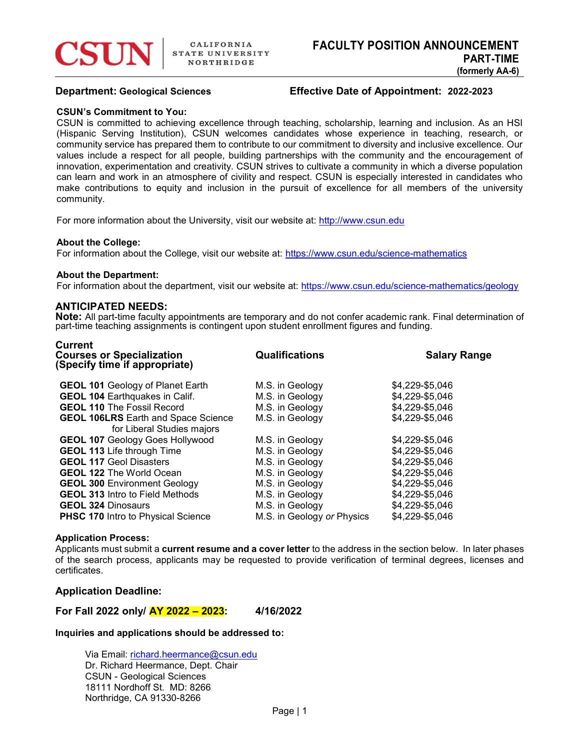# Department: Geological Sciences Effective Date of Appointment: 2022-2023

### CSUN's Commitment to You:

CSUN is committed to achieving excellence through teaching, scholarship, learning and inclusion. As an HSI (Hispanic Serving Institution), CSUN welcomes candidates whose experience in teaching, research, or community service has prepared them to contribute to our commitment to diversity and inclusive excellence. Our values include a respect for all people, building partnerships with the community and the encouragement of innovation, experimentation and creativity. CSUN strives to cultivate a community in which a diverse population can learn and work in an atmosphere of civility and respect. CSUN is especially interested in candidates who make contributions to equity and inclusion in the pursuit of excellence for all members of the university community.

For more information about the University, visit our website at: http://www.csun.edu

## About the College:

Current

For information about the College, visit our website at: https://www.csun.edu/science-mathematics

#### About the Department:

For information about the department, visit our website at: https://www.csun.edu/science-mathematics/geology

# ANTICIPATED NEEDS:

Note: All part-time faculty appointments are temporary and do not confer academic rank. Final determination of part-time teaching assignments is contingent upon student enrollment figures and funding.

| UUIIUIL<br><b>Courses or Specialization</b><br>(Specify time if appropriate) | <b>Qualifications</b>      | <b>Salary Range</b> |
|------------------------------------------------------------------------------|----------------------------|---------------------|
| <b>GEOL 101 Geology of Planet Earth</b>                                      | M.S. in Geology            | \$4,229-\$5,046     |
| <b>GEOL 104 Earthquakes in Calif.</b>                                        | M.S. in Geology            | \$4,229-\$5,046     |
| <b>GEOL 110 The Fossil Record</b>                                            | M.S. in Geology            | \$4,229-\$5,046     |
| <b>GEOL 106LRS</b> Earth and Space Science                                   | M.S. in Geology            | \$4,229-\$5,046     |
| for Liberal Studies majors                                                   |                            |                     |
| <b>GEOL 107 Geology Goes Hollywood</b>                                       | M.S. in Geology            | \$4,229-\$5,046     |
| <b>GEOL 113 Life through Time</b>                                            | M.S. in Geology            | \$4,229-\$5,046     |
| <b>GEOL 117 Geol Disasters</b>                                               | M.S. in Geology            | \$4,229-\$5,046     |
| <b>GEOL 122 The World Ocean</b>                                              | M.S. in Geology            | \$4,229-\$5,046     |
| <b>GEOL 300 Environment Geology</b>                                          | M.S. in Geology            | \$4,229-\$5,046     |
| <b>GEOL 313 Intro to Field Methods</b>                                       | M.S. in Geology            | \$4,229-\$5,046     |
| <b>GEOL 324 Dinosaurs</b>                                                    | M.S. in Geology            | \$4,229-\$5,046     |
| <b>PHSC 170 Intro to Physical Science</b>                                    | M.S. in Geology or Physics | \$4,229-\$5,046     |

#### Application Process:

Applicants must submit a current resume and a cover letter to the address in the section below. In later phases of the search process, applicants may be requested to provide verification of terminal degrees, licenses and certificates.

# Application Deadline:

For Fall 2022 only/ AY 2022 – 2023: 4/16/2022

### Inquiries and applications should be addressed to:

Via Email: richard.heermance@csun.edu Dr. Richard Heermance, Dept. Chair CSUN - Geological Sciences 18111 Nordhoff St. MD: 8266 Northridge, CA 91330-8266